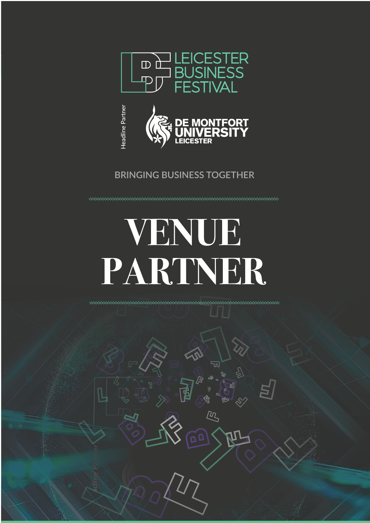



**BRINGING BUSINESS TOGETHER**

## **VENUE PARTNER**

**∞∞∞∞∞∞∞∞∞∞∞∞∞∞∞∞∞∞∞∞** 

╗

『<br>《

 $\mathbf{Q}$ 

 $\mu$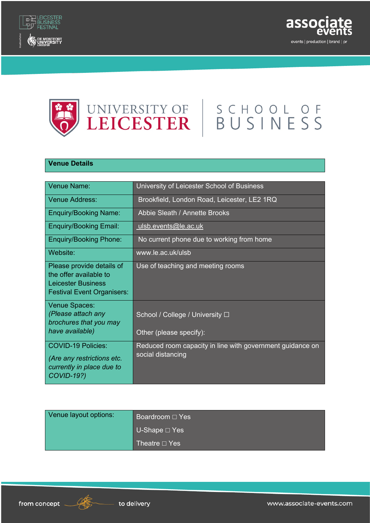





## **Venue Details**

| Venue Name:                                                                                                           | University of Leicester School of Business                                     |
|-----------------------------------------------------------------------------------------------------------------------|--------------------------------------------------------------------------------|
| <b>Venue Address:</b>                                                                                                 | Brookfield, London Road, Leicester, LE2 1RQ                                    |
| <b>Enquiry/Booking Name:</b>                                                                                          | <b>Abbie Sleath / Annette Brooks</b>                                           |
| <b>Enquiry/Booking Email:</b>                                                                                         | ulsb.events@le.ac.uk                                                           |
| <b>Enquiry/Booking Phone:</b>                                                                                         | No current phone due to working from home                                      |
| Website:                                                                                                              | www.le.ac.uk/ulsb                                                              |
| Please provide details of<br>the offer available to<br><b>Leicester Business</b><br><b>Festival Event Organisers:</b> | Use of teaching and meeting rooms                                              |
| Venue Spaces:<br>(Please attach any<br>brochures that you may<br>have available)                                      | School / College / University □<br>Other (please specify):                     |
| <b>COVID-19 Policies:</b><br>(Are any restrictions etc.<br>currently in place due to<br><b>COVID-19?)</b>             | Reduced room capacity in line with government guidance on<br>social distancing |

| Venue layout options: | Boardroom □ Yes                 |
|-----------------------|---------------------------------|
|                       | $\bigcup$ U-Shape $\square$ Yes |
|                       | Theatre $\Box$ Yes              |

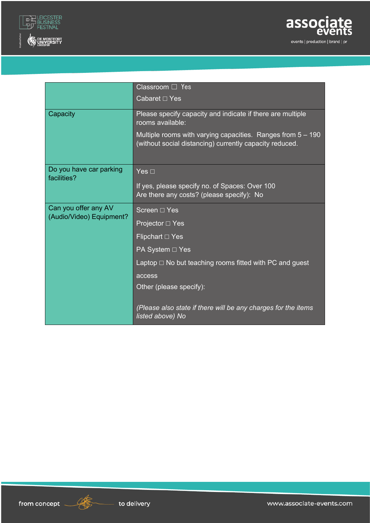



|                                                  | Classroom $\Box$ Yes                                                                                                     |
|--------------------------------------------------|--------------------------------------------------------------------------------------------------------------------------|
|                                                  | Cabaret D Yes                                                                                                            |
| Capacity                                         | Please specify capacity and indicate if there are multiple<br>rooms available:                                           |
|                                                  | Multiple rooms with varying capacities. Ranges from $5 - 190$<br>(without social distancing) currently capacity reduced. |
| Do you have car parking<br>facilities?           | Yes $\Box$                                                                                                               |
|                                                  | If yes, please specify no. of Spaces: Over 100<br>Are there any costs? (please specify): No                              |
| Can you offer any AV<br>(Audio/Video) Equipment? | Screen □ Yes                                                                                                             |
|                                                  | Projector □ Yes                                                                                                          |
|                                                  | Flipchart $\Box$ Yes                                                                                                     |
|                                                  | PA System □ Yes                                                                                                          |
|                                                  | Laptop $\Box$ No but teaching rooms fitted with PC and guest                                                             |
|                                                  | access                                                                                                                   |
|                                                  | Other (please specify):                                                                                                  |
|                                                  | (Please also state if there will be any charges for the items<br>listed above) No                                        |